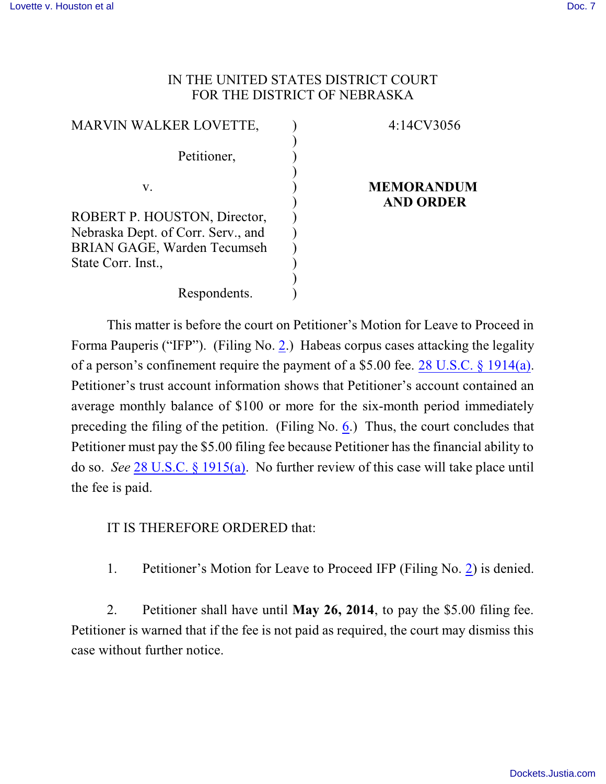## IN THE UNITED STATES DISTRICT COURT FOR THE DISTRICT OF NEBRASKA

| <b>MARVIN WALKER LOVETTE,</b>      | 4:14CV3056                            |
|------------------------------------|---------------------------------------|
| Petitioner,                        |                                       |
|                                    |                                       |
| V.                                 | <b>MEMORANDUM</b><br><b>AND ORDER</b> |
| ROBERT P. HOUSTON, Director,       |                                       |
| Nebraska Dept. of Corr. Serv., and |                                       |
| <b>BRIAN GAGE, Warden Tecumseh</b> |                                       |
| State Corr. Inst.,                 |                                       |
|                                    |                                       |
| Respondents.                       |                                       |

This matter is before the court on Petitioner's Motion for Leave to Proceed in Forma Pauperis ("IFP"). (Filing No. [2](https://ecf.ned.uscourts.gov/doc1/11312985121).) Habeas corpus cases attacking the legality of a person's confinement require the payment of a \$5.00 fee. 28 [U.S.C. §](http://www.westlaw.com/find/default.wl?rs=CLWP3.0&vr=2.0&cite=28+USCA+s+1914%28a%29) 1914(a). Petitioner's trust account information shows that Petitioner's account contained an average monthly balance of \$100 or more for the six-month period immediately preceding the filing of the petition. (Filing No. [6](https://ecf.ned.uscourts.gov/doc1/11312999449).) Thus, the court concludes that Petitioner must pay the \$5.00 filing fee because Petitioner has the financial ability to do so. *See* 28 [U.S.C. § 1915\(a\)](http://www.westlaw.com/find/default.wl?rs=CLWP3.0&vr=2.0&cite=28+USCA+s+1915%28a%29). No further review of this case will take place until the fee is paid.

IT IS THEREFORE ORDERED that:

1. Petitioner's Motion for Leave to Proceed IFP (Filing No. [2](https://ecf.ned.uscourts.gov/doc1/11312985121)) is denied.

2. Petitioner shall have until **May 26, 2014**, to pay the \$5.00 filing fee. Petitioner is warned that if the fee is not paid as required, the court may dismiss this case without further notice.